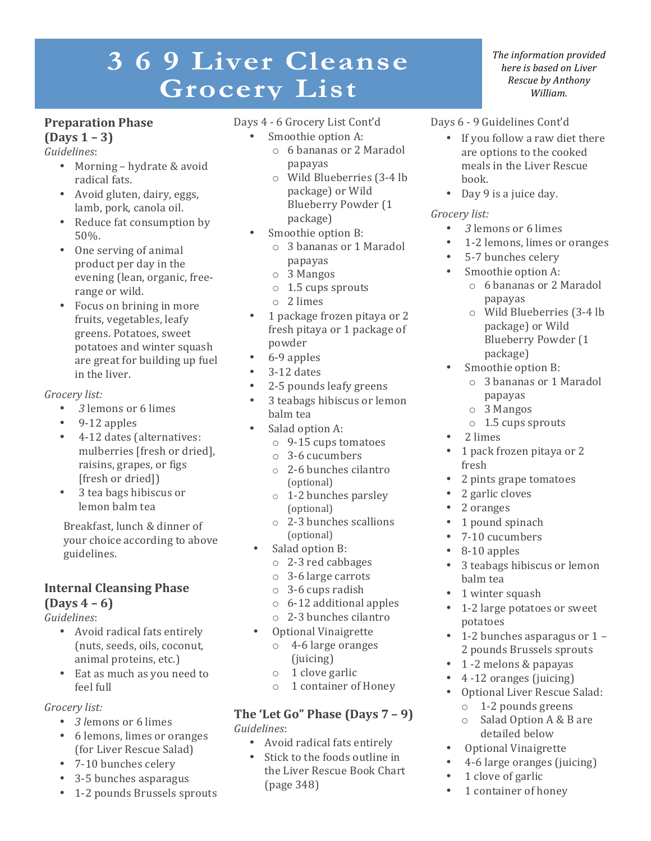# 369 Liver Cleanse **Grocery List**

## **Preparation Phase**

**(Days 1 – 3)**

*Guidelines*:

- Morning hydrate & avoid radical fats.
- Avoid gluten, dairy, eggs, lamb, pork, canola oil.
- Reduce fat consumption by 50%.
- One serving of animal product per day in the evening (lean, organic, freerange or wild.
- Focus on brining in more fruits, vegetables, leafy greens. Potatoes, sweet potatoes and winter squash are great for building up fuel in the liver.

*Grocery list:*

- *3* lemons or 6 limes
- $\cdot$  9-12 apples
- 4-12 dates (alternatives: mulberries [fresh or dried], raisins, grapes, or figs [fresh or dried]]
- 3 tea bags hibiscus or lemon balm tea

Breakfast, lunch & dinner of your choice according to above guidelines.

#### **Internal Cleansing Phase**   $(Days 4 – 6)$

*Guidelines*:

- Avoid radical fats entirely (nuts, seeds, oils, coconut, animal proteins, etc.)
- Eat as much as you need to feel full

#### *Grocery list:*

- *3 lemons* or 6 limes
- 6 lemons, limes or oranges (for Liver Rescue Salad)
- 7-10 bunches celery
- 3-5 bunches asparagus
- 1-2 pounds Brussels sprouts

## Days 4 - 6 Grocery List Cont'd

- Smoothie option A:
	- o 6 bananas or 2 Maradol papayas
	- o Wild Blueberries (3-4 lb package) or Wild Blueberry Powder (1 package)
- Smoothie option B:
	- o 3 bananas or 1 Maradol papayas
	- o 3 Mangos
	- $\circ$  1.5 cups sprouts
	- o 2 limes
- 1 package frozen pitaya or 2 fresh pitaya or 1 package of powder
- 6-9 apples
- 3-12 dates
- 2-5 pounds leafy greens
- 3 teabags hibiscus or lemon balm tea
- Salad option A:
	- $\circ$  9-15 cups tomatoes
	- o 3-6 cucumbers
	- $\circ$  2-6 bunches cilantro (optional)
	- $\circ$  1-2 bunches parsley (optional)
	- $\circ$  2-3 bunches scallions (optional)
- Salad option B:
	- $\circ$  2-3 red cabbages
	- $\circ$  3-6 large carrots
	- $\circ$  3-6 cups radish
	- $\circ$  6-12 additional apples
	- o 2-3 bunches cilantro
- Optional Vinaigrette
	- $\circ$  4-6 large oranges (juicing)
	- $\circ$  1 clove garlic
	- $\circ$  1 container of Honey

#### **The 'Let Go" Phase (Days 7 - 9)** *Guidelines*:

- Avoid radical fats entirely
- Stick to the foods outline in the Liver Rescue Book Chart (page 348)

**The information provided** *here is based on Liver Rescue by Anthony William.*

- Days 6 9 Guidelines Cont'd
	- If you follow a raw diet there are options to the cooked meals in the Liver Rescue book.
	- Day 9 is a juice day.

#### *Grocery list:*

- *3* lemons or 6 limes
- 1-2 lemons, limes or oranges
- 5-7 bunches celery
- Smoothie option A:
	- o 6 bananas or 2 Maradol papayas
	- o Wild Blueberries (3-4 lb package) or Wild Blueberry Powder (1 package)
- Smoothie option B:
	- o 3 bananas or 1 Maradol papayas
	- o 3 Mangos
	- $\circ$  1.5 cups sprouts
- 2 limes
- 1 pack frozen pitaya or 2 fresh
- 2 pints grape tomatoes
- 2 garlic cloves
- 2 oranges
- 1 pound spinach
- 7-10 cucumbers
- 8-10 apples
- 3 teabags hibiscus or lemon balm tea
- 1 winter squash
- 1-2 large potatoes or sweet potatoes
- 1-2 bunches asparagus or  $1 -$ 2 pounds Brussels sprouts
- 1 -2 melons & papayas
- 4 -12 oranges (juicing)
- Optional Liver Rescue Salad:
	- $\circ$  1-2 pounds greens
	- $\circ$  Salad Option A & B are detailed below
- Optional Vinaigrette
- 4-6 large oranges (juicing)
- 1 clove of garlic
- 1 container of honey